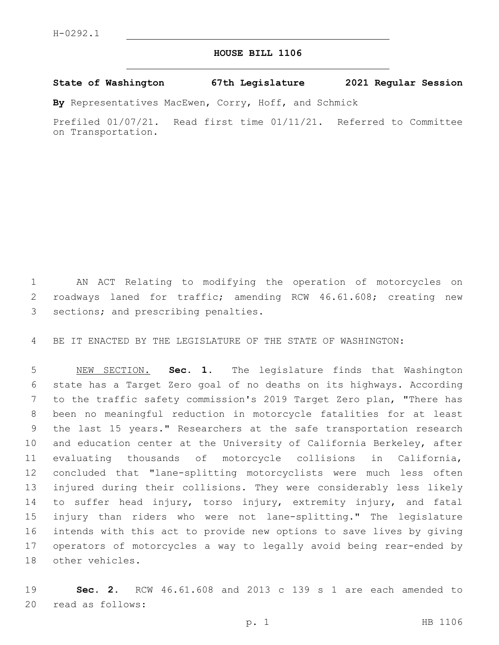## **HOUSE BILL 1106**

## **State of Washington 67th Legislature 2021 Regular Session**

**By** Representatives MacEwen, Corry, Hoff, and Schmick

Prefiled 01/07/21. Read first time 01/11/21. Referred to Committee on Transportation.

 AN ACT Relating to modifying the operation of motorcycles on roadways laned for traffic; amending RCW 46.61.608; creating new 3 sections; and prescribing penalties.

BE IT ENACTED BY THE LEGISLATURE OF THE STATE OF WASHINGTON:

 NEW SECTION. **Sec. 1.** The legislature finds that Washington state has a Target Zero goal of no deaths on its highways. According to the traffic safety commission's 2019 Target Zero plan, "There has been no meaningful reduction in motorcycle fatalities for at least the last 15 years." Researchers at the safe transportation research and education center at the University of California Berkeley, after evaluating thousands of motorcycle collisions in California, concluded that "lane-splitting motorcyclists were much less often injured during their collisions. They were considerably less likely to suffer head injury, torso injury, extremity injury, and fatal injury than riders who were not lane-splitting." The legislature intends with this act to provide new options to save lives by giving operators of motorcycles a way to legally avoid being rear-ended by other vehicles.

 **Sec. 2.** RCW 46.61.608 and 2013 c 139 s 1 are each amended to 20 read as follows: